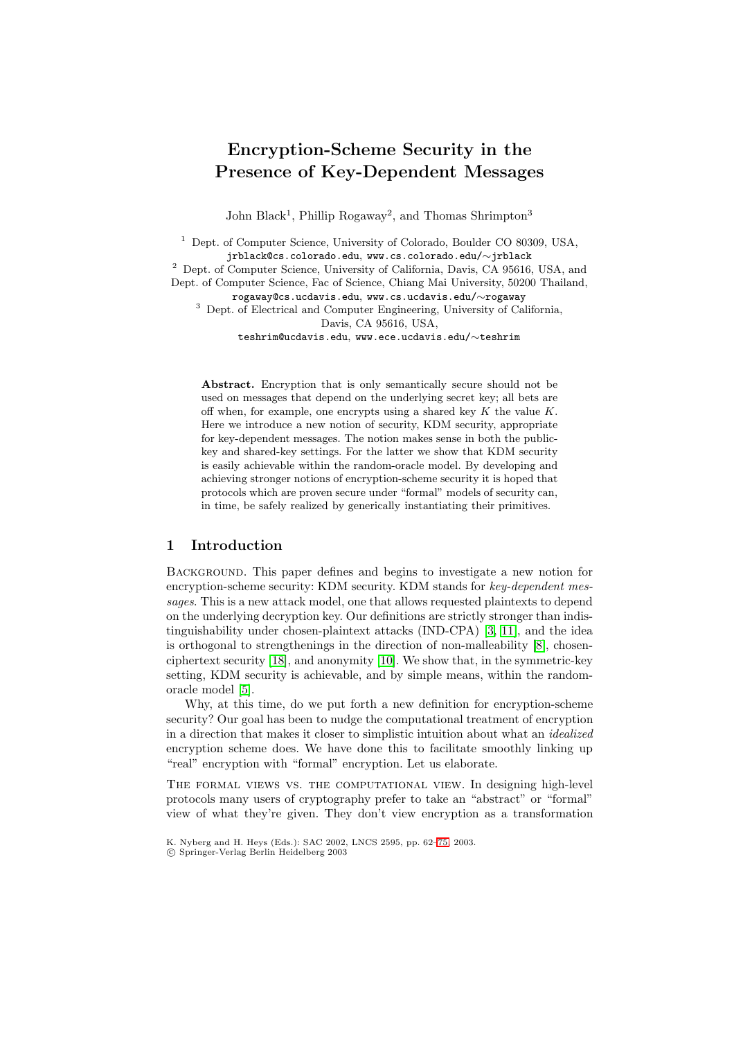# **Encryption-Scheme Security in the Presence of Key-Dependent Messages**

John Black<sup>1</sup>, Phillip Rogaway<sup>2</sup>, and Thomas Shrimpton<sup>3</sup>

<sup>1</sup> Dept. of Computer Science, University of Colorado, Boulder CO 80309, USA, jrblack@cs.colorado.edu, www.cs.colorado.edu/∼jrblack <sup>2</sup> Dept. of Computer Science, University of California, Davis, CA 95616, USA, and Dept. of Computer Science, Fac of Science, Chiang Mai University, 50200 Thailand, rogaway@cs.ucdavis.edu, www.cs.ucdavis.edu/∼rogaway <sup>3</sup> Dept. of Electrical and Computer Engineering, University of California, Davis, CA 95616, USA, teshrim@ucdavis.edu, www.ece.ucdavis.edu/∼teshrim

**Abstract.** Encryption that is only semantically secure should not be used on messages that depend on the underlying secret key; all bets are off when, for example, one encrypts using a shared key *K* the value *K*. Here we introduce a new notion of security, KDM security, appropriate for key-dependent messages. The notion makes sense in both the publickey and shared-key settings. For the latter we show that KDM security is easily achievable within the random-oracle model. By developing and achieving stronger notions of encryption-scheme security it is hoped that protocols which are proven secure under "formal" models of security can, in time, be safely realized by generically instantiating their primitives.

# **1 Introduction**

Background. This paper defines and begins to investigate a new notion for encryption-scheme security: KDM security. KDM stands for *key-dependent messages*. This is a new attack model, one that allows requested plaintexts to depend on the underlying decryption key. Our definitions are strictly stronger than indistinguishability under chosen-plaintext attacks (IND-CPA) [\[3,](#page-12-0) [11\]](#page-12-1), and the idea is orthogonal to strengthenings in the direction of non-malleability [\[8\]](#page-12-2), chosenciphertext security [\[18\]](#page-13-0), and anonymity [\[10\]](#page-12-3). We show that, in the symmetric-key setting, KDM security is achievable, and by simple means, within the randomoracle model [\[5\]](#page-12-4).

Why, at this time, do we put forth a new definition for encryption-scheme security? Our goal has been to nudge the computational treatment of encryption in a direction that makes it closer to simplistic intuition about what an *idealized* encryption scheme does. We have done this to facilitate smoothly linking up "real" encryption with "formal" encryption. Let us elaborate.

The formal views vs. the computational view. In designing high-level protocols many users of cryptography prefer to take an "abstract" or "formal" view of what they're given. They don't view encryption as a transformation

c Springer-Verlag Berlin Heidelberg 2003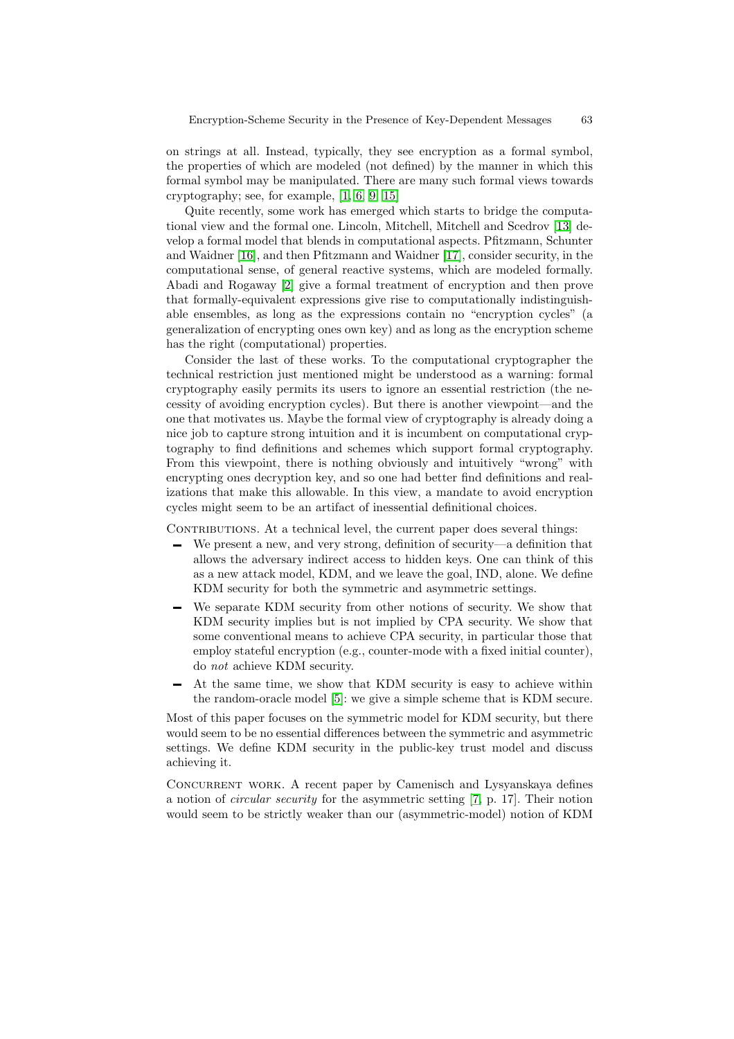on strings at all. Instead, typically, they see encryption as a formal symbol, the properties of which are modeled (not defined) by the manner in which this formal symbol may be manipulated. There are many such formal views towards cryptography; see, for example, [\[1,](#page-12-6) [6,](#page-12-7) [9,](#page-12-8) [15\]](#page-12-9)

Quite recently, some work has emerged which starts to bridge the computational view and the formal one. Lincoln, Mitchell, Mitchell and Scedrov [\[13\]](#page-12-10) develop a formal model that blends in computational aspects. Pfitzmann, Schunter and Waidner [\[16\]](#page-13-1), and then Pfitzmann and Waidner [\[17\]](#page-13-2), consider security, in the computational sense, of general reactive systems, which are modeled formally. Abadi and Rogaway [\[2\]](#page-12-11) give a formal treatment of encryption and then prove that formally-equivalent expressions give rise to computationally indistinguishable ensembles, as long as the expressions contain no "encryption cycles" (a generalization of encrypting ones own key) and as long as the encryption scheme has the right (computational) properties.

Consider the last of these works. To the computational cryptographer the technical restriction just mentioned might be understood as a warning: formal cryptography easily permits its users to ignore an essential restriction (the necessity of avoiding encryption cycles). But there is another viewpoint—and the one that motivates us. Maybe the formal view of cryptography is already doing a nice job to capture strong intuition and it is incumbent on computational cryptography to find definitions and schemes which support formal cryptography. From this viewpoint, there is nothing obviously and intuitively "wrong" with encrypting ones decryption key, and so one had better find definitions and realizations that make this allowable. In this view, a mandate to avoid encryption cycles might seem to be an artifact of inessential definitional choices.

CONTRIBUTIONS. At a technical level, the current paper does several things:

- We present a new, and very strong, definition of security—a definition that allows the adversary indirect access to hidden keys. One can think of this as a new attack model, KDM, and we leave the goal, IND, alone. We define KDM security for both the symmetric and asymmetric settings.
- We separate KDM security from other notions of security. We show that KDM security implies but is not implied by CPA security. We show that some conventional means to achieve CPA security, in particular those that employ stateful encryption (e.g., counter-mode with a fixed initial counter), do *not* achieve KDM security.
- At the same time, we show that KDM security is easy to achieve within the random-oracle model [\[5\]](#page-12-4): we give a simple scheme that is KDM secure.

Most of this paper focuses on the symmetric model for KDM security, but there would seem to be no essential differences between the symmetric and asymmetric settings. We define KDM security in the public-key trust model and discuss achieving it.

CONCURRENT WORK. A recent paper by Camenisch and Lysyanskaya defines a notion of *circular security* for the asymmetric setting [\[7,](#page-12-12) p. 17]. Their notion would seem to be strictly weaker than our (asymmetric-model) notion of KDM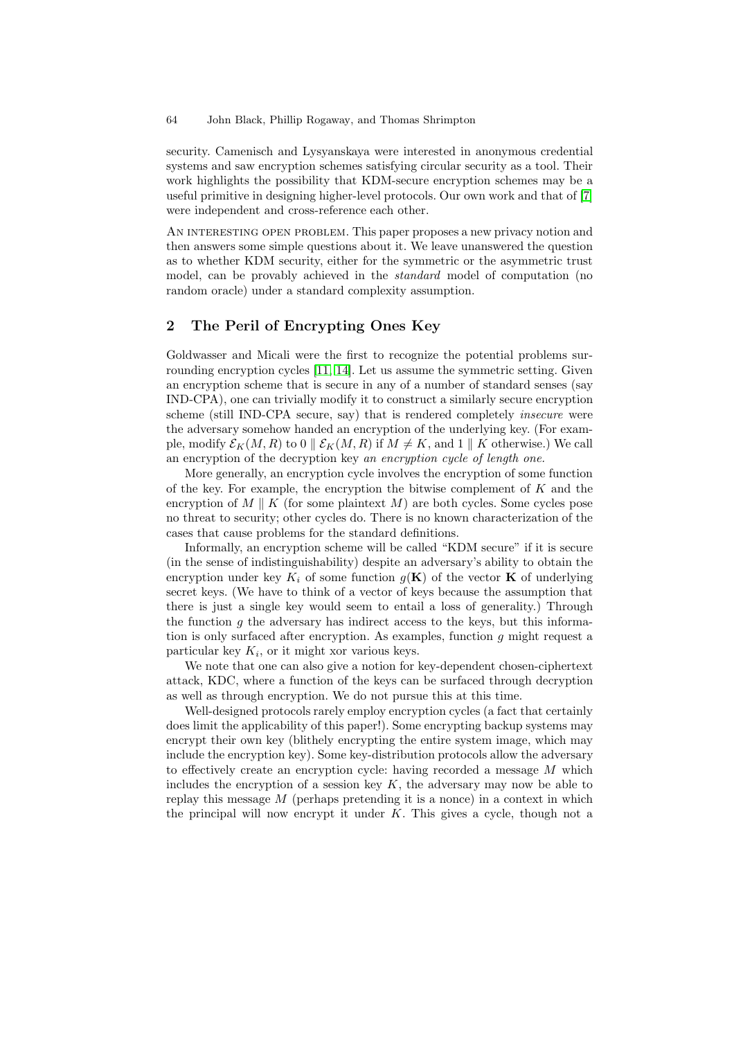security. Camenisch and Lysyanskaya were interested in anonymous credential systems and saw encryption schemes satisfying circular security as a tool. Their work highlights the possibility that KDM-secure encryption schemes may be a useful primitive in designing higher-level protocols. Our own work and that of [\[7\]](#page-12-12) were independent and cross-reference each other.

AN INTERESTING OPEN PROBLEM. This paper proposes a new privacy notion and then answers some simple questions about it. We leave unanswered the question as to whether KDM security, either for the symmetric or the asymmetric trust model, can be provably achieved in the *standard* model of computation (no random oracle) under a standard complexity assumption.

## **2 The Peril of Encrypting Ones Key**

Goldwasser and Micali were the first to recognize the potential problems surrounding encryption cycles [\[11,](#page-12-1) [14\]](#page-12-13). Let us assume the symmetric setting. Given an encryption scheme that is secure in any of a number of standard senses (say IND-CPA), one can trivially modify it to construct a similarly secure encryption scheme (still IND-CPA secure, say) that is rendered completely *insecure* were the adversary somehow handed an encryption of the underlying key. (For example, modify  $\mathcal{E}_K(M, R)$  to  $0 \parallel \mathcal{E}_K(M, R)$  if  $M \neq K$ , and  $1 \parallel K$  otherwise.) We call<br>an encryption of the decryption key an encryption cycle of length ane an encryption of the decryption key *an encryption cycle of length one.*

More generally, an encryption cycle involves the encryption of some function of the key. For example, the encryption the bitwise complement of  $K$  and the encryption of M  $\parallel$  K (for some plaintext M) are both cycles. Some cycles pose no threat to security; other cycles do. There is no known characterization of the cases that cause problems for the standard definitions.

Informally, an encryption scheme will be called "KDM secure" if it is secure (in the sense of indistinguishability) despite an adversary's ability to obtain the encryption under key  $K_i$  of some function  $g(\mathbf{K})$  of the vector **K** of underlying secret keys. (We have to think of a vector of keys because the assumption that there is just a single key would seem to entail a loss of generality.) Through the function  $g$  the adversary has indirect access to the keys, but this information is only surfaced after encryption. As examples, function g might request a particular key  $K_i$ , or it might xor various keys.

We note that one can also give a notion for key-dependent chosen-ciphertext attack, KDC, where a function of the keys can be surfaced through decryption as well as through encryption. We do not pursue this at this time.

Well-designed protocols rarely employ encryption cycles (a fact that certainly does limit the applicability of this paper!). Some encrypting backup systems may encrypt their own key (blithely encrypting the entire system image, which may include the encryption key). Some key-distribution protocols allow the adversary to effectively create an encryption cycle: having recorded a message M which includes the encryption of a session key  $K$ , the adversary may now be able to replay this message  $M$  (perhaps pretending it is a nonce) in a context in which the principal will now encrypt it under  $K$ . This gives a cycle, though not a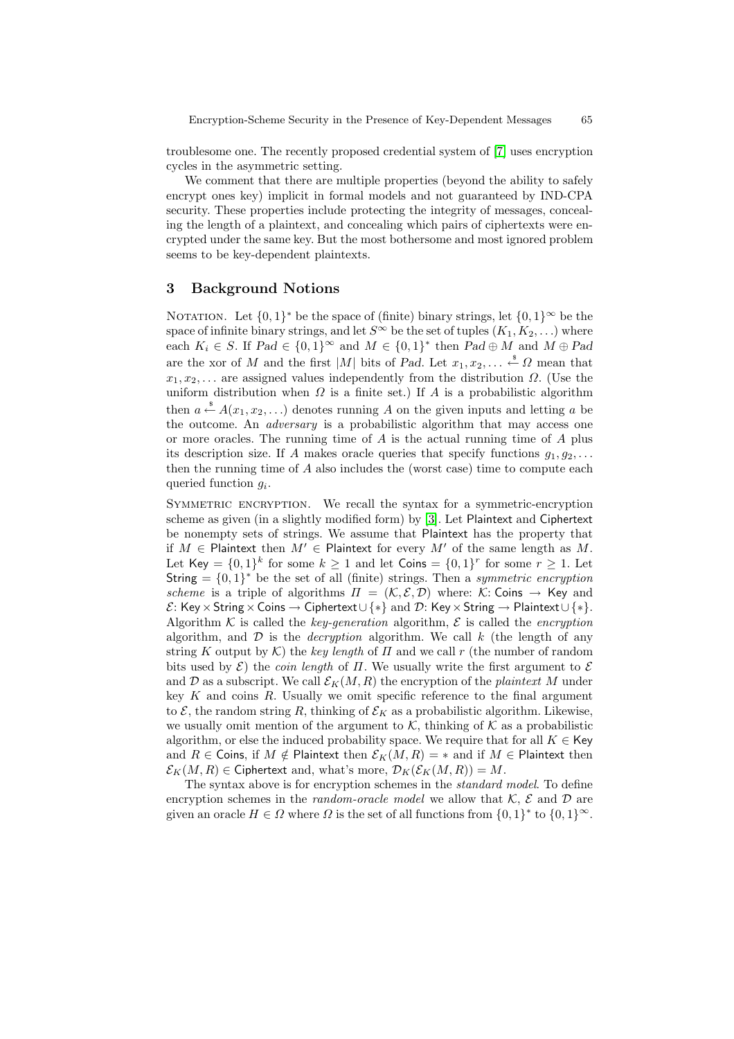troublesome one. The recently proposed credential system of [\[7\]](#page-12-12) uses encryption cycles in the asymmetric setting.

We comment that there are multiple properties (beyond the ability to safely encrypt ones key) implicit in formal models and not guaranteed by IND-CPA security. These properties include protecting the integrity of messages, concealing the length of a plaintext, and concealing which pairs of ciphertexts were encrypted under the same key. But the most bothersome and most ignored problem seems to be key-dependent plaintexts.

#### **3 Background Notions**

NOTATION. Let  $\{0,1\}^*$  be the space of (finite) binary strings, let  $\{0,1\}^\infty$  be the space of infinite binary strings, and let  $S^{\infty}$  be the set of tuples  $(K_1, K_2,...)$  where each  $K_i \in S$ . If  $Pad \in \{0,1\}^\infty$  and  $M \in \{0,1\}^*$  then  $Pad \oplus M$  and  $M \oplus Pad$ are the xor of M and the first  $|M|$  bits of Pad. Let  $x_1, x_2, \ldots \stackrel{*}{\leftarrow} \Omega$  mean that  $x_1, x_2, \ldots$  are assigned values independently from the distribution O. (Use the  $x_1, x_2, \ldots$  are assigned values independently from the distribution  $\Omega$ . (Use the uniform distribution when  $\Omega$  is a finite set.) If A is a probabilistic algorithm then  $a \stackrel{*}{\leftarrow} A(x_1, x_2, \ldots)$  denotes running A on the given inputs and letting a be<br>the outcome. An adversary is a probabilistic algorithm that may access one the outcome. An *adversary* is a probabilistic algorithm that may access one or more oracles. The running time of  $A$  is the actual running time of  $A$  plus its description size. If A makes oracle queries that specify functions  $g_1, g_2, \ldots$ then the running time of A also includes the (worst case) time to compute each queried function  $q_i$ .

Symmetric encryption. We recall the syntax for a symmetric-encryption scheme as given (in a slightly modified form) by [\[3\]](#page-12-0). Let Plaintext and Ciphertext be nonempty sets of strings. We assume that Plaintext has the property that if  $M \in$  Plaintext then  $M' \in$  Plaintext for every  $M'$  of the same length as M. Let Key =  $\{0,1\}^k$  for some  $k \ge 1$  and let Coins =  $\{0,1\}^r$  for some  $r \ge 1$ . Let String =  $\{0,1\}^*$  be the set of all (finite) strings. Then a *symmetric encryption scheme* is a triple of algorithms  $\Pi = (\mathcal{K}, \mathcal{E}, \mathcal{D})$  where:  $\mathcal{K}$ : Coins  $\rightarrow$  Key and  $\mathcal{E}:$  Key  $\times$  String  $\times$  Coins  $\rightarrow$  Ciphertext  $\cup$  {∗} and  $\mathcal{D}:$  Key  $\times$  String  $\rightarrow$  Plaintext  $\cup$  {∗}. Algorithm  $\mathcal K$  is called the *key-generation* algorithm,  $\mathcal E$  is called the *encryption* algorithm, and  $\mathcal D$  is the *decryption* algorithm. We call  $k$  (the length of any string K output by  $\mathcal{K}$ ) the *key length* of  $\Pi$  and we call r (the number of random bits used by  $\mathcal{E}$ ) the *coin length* of  $\Pi$ . We usually write the first argument to  $\mathcal{E}$ and D as a subscript. We call  $\mathcal{E}_K(M, R)$  the encryption of the *plaintext* M under key  $K$  and coins  $R$ . Usually we omit specific reference to the final argument to  $\mathcal{E}$ , the random string R, thinking of  $\mathcal{E}_K$  as a probabilistic algorithm. Likewise, we usually omit mention of the argument to  $K$ , thinking of  $K$  as a probabilistic algorithm, or else the induced probability space. We require that for all  $K \in \mathsf{Key}$ and  $R \in \text{Coins, if } M \notin \text{Plaintext then } \mathcal{E}_K(M,R) = *$  and if  $M \in \text{Plaintext then }$  $\mathcal{E}_K(M,R) \in \mathsf{Ciphertext}$  and, what's more,  $\mathcal{D}_K(\mathcal{E}_K(M,R)) = M$ .

The syntax above is for encryption schemes in the *standard model*. To define encryption schemes in the *random-oracle model* we allow that  $\mathcal{K}, \mathcal{E}$  and  $\mathcal{D}$  are given an oracle  $H \in \Omega$  where  $\Omega$  is the set of all functions from  $\{0,1\}^*$  to  $\{0,1\}^{\infty}$ .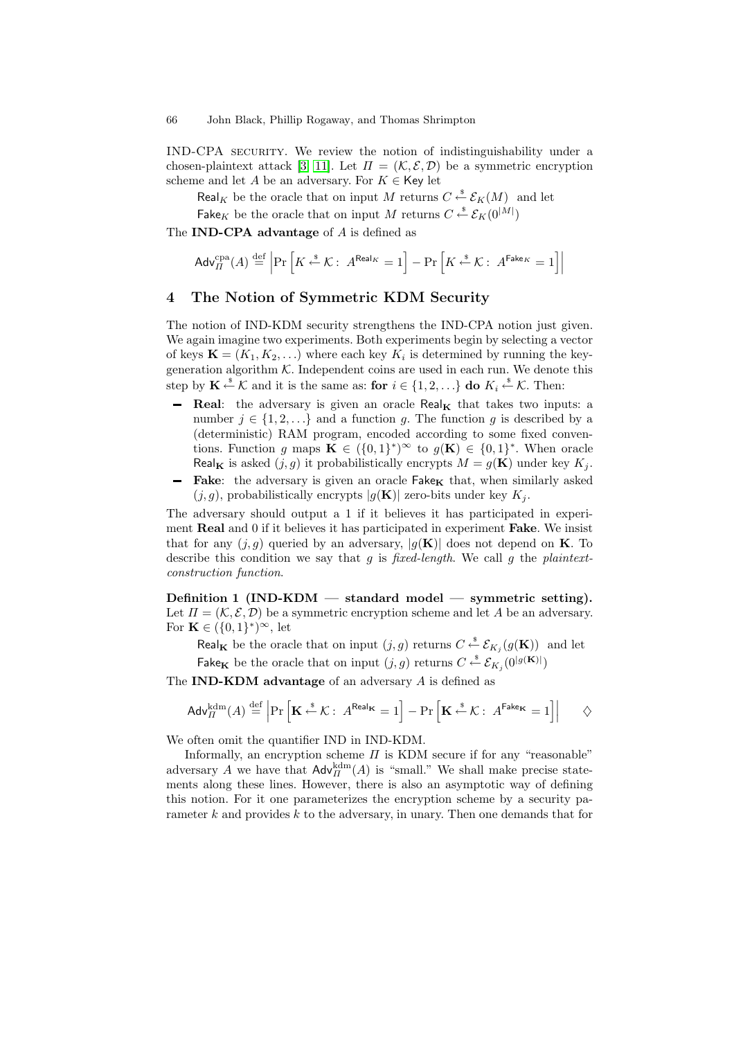IND-CPA security. We review the notion of indistinguishability under a chosen-plaintext attack [\[3,](#page-12-0) [11\]](#page-12-1). Let  $\Pi = (\mathcal{K}, \mathcal{E}, \mathcal{D})$  be a symmetric encryption scheme and let A be an adversary. For  $K \in \mathsf{Key}$  let

Real<sub>K</sub> be the oracle that on input M returns  $C \stackrel{\text{d}}{\leftarrow} \mathcal{E}_K(M)$  and let

Fake<sub>K</sub> be the oracle that on input M returns  $C \stackrel{\text{s}}{\leftarrow} \mathcal{E}_K(0^{|M|})$ 

The **IND-CPA advantage** of A is defined as

$$
\mathsf{Adv}_{\Pi}^{\mathsf{cpa}}(A) \stackrel{\text{def}}{=} \left| \Pr \left[ K \stackrel{\$}{\leftarrow} \mathcal{K} : A^{\mathsf{Real}_K} = 1 \right] - \Pr \left[ K \stackrel{\$}{\leftarrow} \mathcal{K} : A^{\mathsf{Fake}_K} = 1 \right] \right|
$$

# **4 The Notion of Symmetric KDM Security**

The notion of IND-KDM security strengthens the IND-CPA notion just given. We again imagine two experiments. Both experiments begin by selecting a vector of keys  $\mathbf{K} = (K_1, K_2, \ldots)$  where each key  $K_i$  is determined by running the keygeneration algorithm  $K$ . Independent coins are used in each run. We denote this step by  $\mathbf{K} \stackrel{\text{s}}{\leftarrow} \mathcal{K}$  and it is the same as: **for**  $i \in \{1, 2, \ldots\}$  **do**  $K_i \stackrel{\text{s}}{\leftarrow} \mathcal{K}$ . Then:

- **Real:** the adversary is given an oracle  $\text{Real}_{K}$  that takes two inputs: a number  $j \in \{1, 2, ...\}$  and a function g. The function g is described by a (deterministic) RAM program, encoded according to some fixed conventions. Function g maps  $\mathbf{K} \in (\{0,1\}^*)^\infty$  to  $g(\mathbf{K}) \in \{0,1\}^*$ . When oracle Real<sub>K</sub> is asked  $(j, g)$  it probabilistically encrypts  $M = g(K)$  under key  $K_j$ .
- **Fake:** the adversary is given an oracle  $\mathsf{Fake}_{\mathbf{K}}$  that, when similarly asked  $(j, g)$ , probabilistically encrypts  $|g(\mathbf{K})|$  zero-bits under key  $K_i$ .

The adversary should output a 1 if it believes it has participated in experiment **Real** and 0 if it believes it has participated in experiment **Fake**. We insist that for any  $(j, g)$  queried by an adversary,  $|g(K)|$  does not depend on **K**. To describe this condition we say that g is *fixed-length*. We call g the *plaintextconstruction function*.

**Definition 1 (IND-KDM — standard model — symmetric setting).** Let  $\Pi = (\mathcal{K}, \mathcal{E}, \mathcal{D})$  be a symmetric encryption scheme and let A be an adversary. For  $\mathbf{K} \in (\{0,1\}^*)^{\infty}$ , let

Real<sub>**K**</sub> be the oracle that on input  $(j, g)$  returns  $C \stackrel{\text{s}}{\sim} \mathcal{E}_{K_j}(g(\mathbf{K}))$  and let **Fake<sub>K</sub>** be the oracle that on input  $(j, g)$  returns  $C \stackrel{\text{g}}{\leftarrow} \mathcal{E}_{K_j}(0^{|g(\mathbf{K})|})$ 

The **IND-KDM advantage** of an adversary A is defined as

$$
\mathsf{Adv}_{\varPi}^{\mathsf{kdm}}(A) \stackrel{\mathrm{def}}{=} \left| \Pr\left[\mathbf{K} \stackrel{\hspace{0.1em}\mathsf{s}}{ \leftarrow } \mathcal{K} \colon \, A^{\mathsf{Real}_{\mathbf{K}}} = 1 \right] - \Pr\left[\mathbf{K} \stackrel{\hspace{0.1em}\mathsf{s}}{ \leftarrow } \mathcal{K} \colon \, A^{\mathsf{False}_{\mathbf{K}}} = 1 \right] \right| \qquad \diamondsuit
$$

We often omit the quantifier IND in IND-KDM.

Informally, an encryption scheme  $\Pi$  is KDM secure if for any "reasonable"<br>exactly  $A$  we have that  $\Delta d\nu^k d\nu$  is "small". We shall make precise stateadversary A we have that  $\mathsf{Adv}_{II}^{\text{kdm}}(A)$  is "small." We shall make precise state-<br>ments along these lines. However, there is also an asymptotic way of defining ments along these lines. However, there is also an asymptotic way of defining this notion. For it one parameterizes the encryption scheme by a security parameter  $k$  and provides  $k$  to the adversary, in unary. Then one demands that for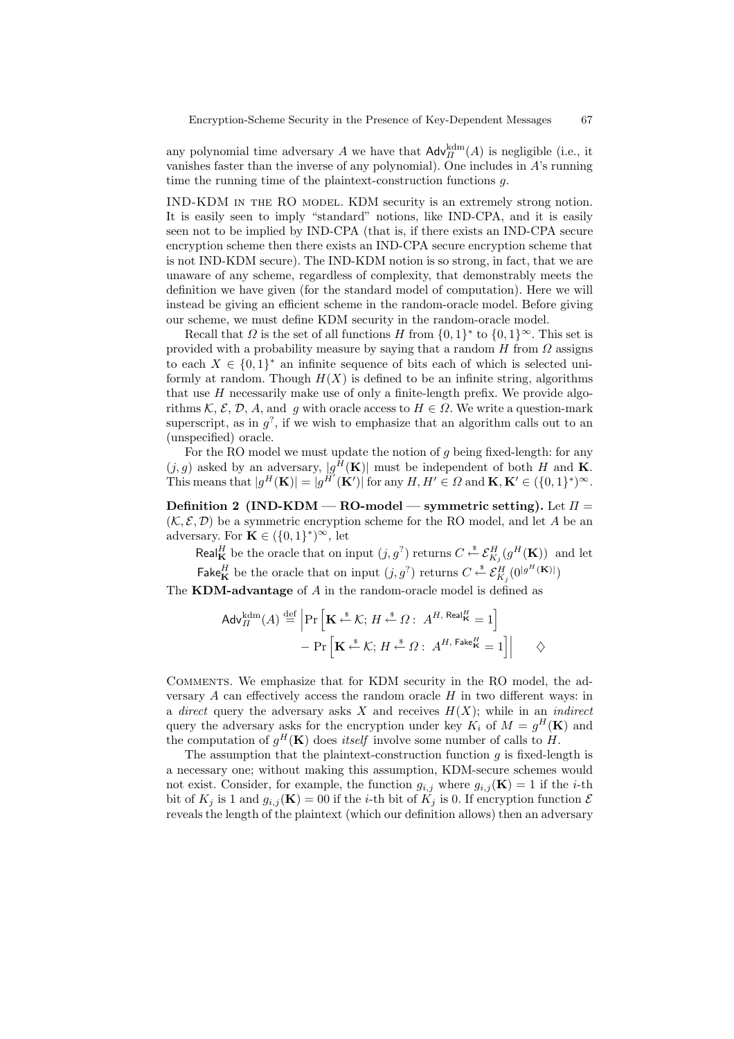any polynomial time adversary A we have that  $\mathsf{Adv}_{H}^{\text{kdm}}(A)$  is negligible (i.e., it vanishes faster than the inverse of any polynomial). One includes in  $A$ 's running vanishes faster than the inverse of any polynomial). One includes in  $A$ 's running time the running time of the plaintext-construction functions g.

IND-KDM in the RO model. KDM security is an extremely strong notion. It is easily seen to imply "standard" notions, like IND-CPA, and it is easily seen not to be implied by IND-CPA (that is, if there exists an IND-CPA secure encryption scheme then there exists an IND-CPA secure encryption scheme that is not IND-KDM secure). The IND-KDM notion is so strong, in fact, that we are unaware of any scheme, regardless of complexity, that demonstrably meets the definition we have given (for the standard model of computation). Here we will instead be giving an efficient scheme in the random-oracle model. Before giving our scheme, we must define KDM security in the random-oracle model.

Recall that  $\Omega$  is the set of all functions H from  $\{0,1\}^*$  to  $\{0,1\}^{\infty}$ . This set is provided with a probability measure by saying that a random  $H$  from  $\Omega$  assigns to each  $X \in \{0,1\}^*$  an infinite sequence of bits each of which is selected uniformly at random. Though  $H(X)$  is defined to be an infinite string, algorithms that use H necessarily make use of only a finite-length prefix. We provide algorithms K, E, D, A, and g with oracle access to  $H \in \Omega$ . We write a question-mark superscript, as in  $g^2$ , if we wish to emphasize that an algorithm calls out to an (unspecified) oracle.

For the RO model we must update the notion of g being fixed-length: for any<br>c) asked by an adversary  $|a^H(\mathbf{K})|$  must be independent of both H and K  $(j, g)$  asked by an adversary,  $|g^H(\mathbf{K})|$  must be independent of both H and **K**.<br>This means that  $|g^H(\mathbf{K})| = |g^H(\mathbf{K}')|$  for any H  $H' \in Q$  and **K**  $\mathbf{K}' \in (10, 11^*)^{\infty}$ This means that  $|g^H(\mathbf{K})| = |g^{H'}(\mathbf{K}')|$  for any  $H, H' \in \Omega$  and  $\mathbf{K}, \mathbf{K}' \in (\{0, 1\}^*)^{\infty}$ .

**Definition 2 (IND-KDM — RO-model — symmetric setting).** Let  $\Pi$  =  $(\mathcal{K}, \mathcal{E}, \mathcal{D})$  be a symmetric encryption scheme for the RO model, and let A be an adversary. For  $\mathbf{K} \in (\{0,1\}^*)^{\infty}$ , let

Real<sub>K</sub><sup>H</sup> be the oracle that on input  $(j, g^2)$  returns  $C \stackrel{\text{g}}{\leftarrow} \mathcal{E}_{K_j}^H(g^H(\mathbf{K}))$  and let

**Fake**<sup>H</sup><sub>**K**</sub> be the oracle that on input  $(j, g^?)$  returns  $C \stackrel{\text{g}}{\leftarrow} \mathcal{E}_{K_j}^H(0^{|g^H(\mathbf{K})|})$ 

The **KDM-advantage** of A in the random-oracle model is defined as

$$
\begin{aligned} \mathsf{Adv}_{\Pi}^{\mathrm{kdm}}(A) \stackrel{\mathrm{def}}{=} \left| \Pr\left[\mathbf{K} \stackrel{\mathrm{s}}{\leftarrow} \mathcal{K}; H \stackrel{\mathrm{s}}{\leftarrow} \Omega: A^{H, \operatorname{Real}_{\mathbf{K}}^{H}} = 1 \right] \right. \\ &- \Pr\left[\mathbf{K} \stackrel{\mathrm{s}}{\leftarrow} \mathcal{K}; H \stackrel{\mathrm{s}}{\leftarrow} \Omega: A^{H, \operatorname{Fake}_{\mathbf{K}}^{H}} = 1 \right] \right| \quad \diamondsuit \end{aligned}
$$

Comments. We emphasize that for KDM security in the RO model, the adversary  $A$  can effectively access the random oracle  $H$  in two different ways: in <sup>a</sup> *direct* query the adversary asks X and receives H(X); while in an *indirect* query the adversary asks for the encryption under key  $K_i$  of  $M = g^H(\mathbf{K})$  and the computation of  $q^H(\mathbf{K})$  does *itself* involve some number of calls to H.

The assumption that the plaintext-construction function  $g$  is fixed-length is a necessary one; without making this assumption, KDM-secure schemes would not exist. Consider, for example, the function  $g_{i,j}$  where  $g_{i,j}(\mathbf{K}) = 1$  if the *i*-th bit of  $K_j$  is 1 and  $g_{i,j}(\mathbf{K}) = 00$  if the *i*-th bit of  $K_j$  is 0. If encryption function  $\mathcal E$ reveals the length of the plaintext (which our definition allows) then an adversary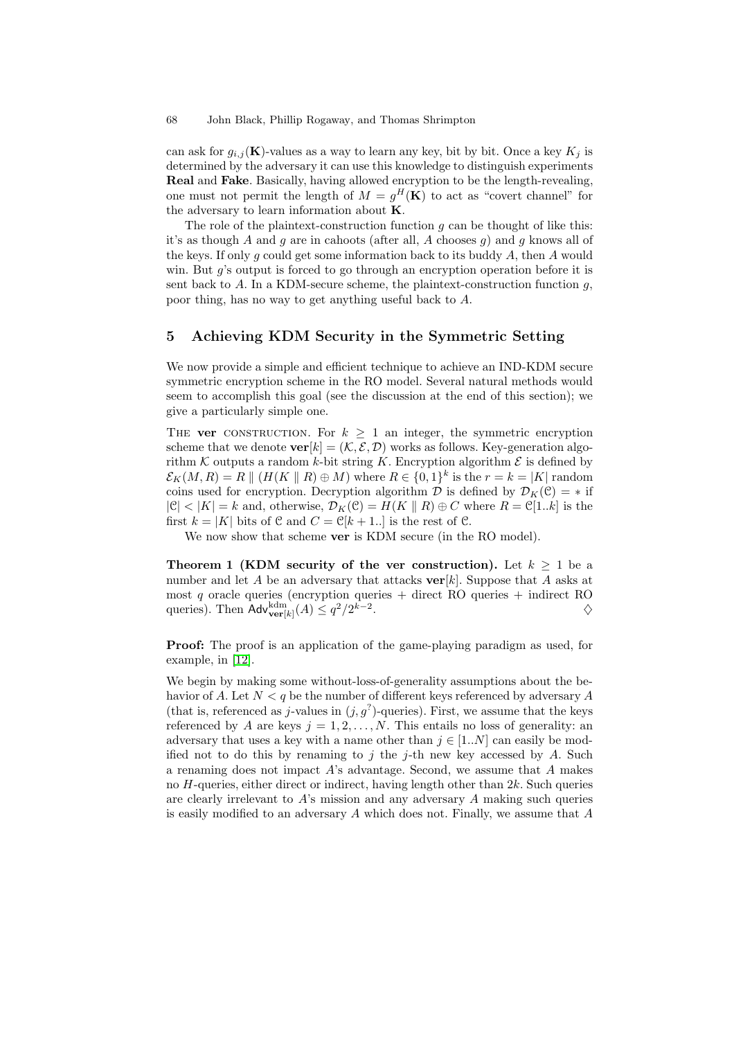can ask for  $g_{i,j}(\mathbf{K})$ -values as a way to learn any key, bit by bit. Once a key  $K_j$  is determined by the adversary it can use this knowledge to distinguish experiments **Real** and **Fake**. Basically, having allowed encryption to be the length-revealing, one must not permit the length of  $M = g^H(\mathbf{K})$  to act as "covert channel" for the adversary to learn information about **K**.

The role of the plaintext-construction function  $g$  can be thought of like this: it's as though A and g are in cahoots (after all, A chooses g) and g knows all of the keys. If only q could get some information back to its buddy  $A$ , then  $A$  would win. But g's output is forced to go through an encryption operation before it is sent back to A. In a KDM-secure scheme, the plaintext-construction function  $g$ , poor thing, has no way to get anything useful back to A.

## **5 Achieving KDM Security in the Symmetric Setting**

We now provide a simple and efficient technique to achieve an IND-KDM secure symmetric encryption scheme in the RO model. Several natural methods would seem to accomplish this goal (see the discussion at the end of this section); we give a particularly simple one.

THE **ver** CONSTRUCTION. For  $k \geq 1$  an integer, the symmetric encryption scheme that we denote **ver**[k] =  $(K, \mathcal{E}, \mathcal{D})$  works as follows. Key-generation algorithm  $K$  outputs a random k-bit string K. Encryption algorithm  $\mathcal E$  is defined by  $\mathcal{E}_K(M,R) = R \parallel (H(K \parallel R) \oplus M)$  where  $R \in \{0,1\}^k$  is the  $r = k = |K|$  random coins used for encryption. Decryption algorithm  $\mathcal D$  is defined by  $\mathcal D_K(\mathcal C) = *$  if  $|\mathcal{C}| < |K| = k$  and, otherwise,  $\mathcal{D}_K(\mathcal{C}) = H(K || R) \oplus C$  where  $R = \mathcal{C}[1..k]$  is the first  $k = |K|$  bits of C and  $C = \mathbb{C}[k+1]$  is the rest of C.

We now show that scheme **ver** is KDM secure (in the RO model).

<span id="page-6-0"></span>**Theorem 1 (KDM security of the ver construction).** Let  $k \geq 1$  be a number and let A be an adversary that attacks  $ver[k]$ . Suppose that A asks at most q oracle queries (encryption queries + direct RO queries + indirect RO queries). Then  $\text{Adv}^{\text{tdm}}_{\text{unshell}}(A) \leq q^2/2^{k-2}$ . queries). Then  $\mathsf{Adv}_{\mathbf{ver}[k]}^{\text{kdm}}(A) \leq q^2/2^{k-2}$ .  $\diamondsuit$ 

**Proof:** The proof is an application of the game-playing paradigm as used, for example, in [\[12\]](#page-12-14).

We begin by making some without-loss-of-generality assumptions about the behavior of A. Let  $N < q$  be the number of different keys referenced by adversary A (that is, referenced as j-values in  $(j, g^2)$ -queries). First, we assume that the keys referenced by A are keys  $j = 1, 2, ..., N$ . This entails no loss of generality: an adversary that uses a key with a name other than  $j \in [1..N]$  can easily be modified not to do this by renaming to j the j-th new key accessed by A. Such a renaming does not impact  $A$ 's advantage. Second, we assume that  $A$  makes no  $H$ -queries, either direct or indirect, having length other than  $2k$ . Such queries are clearly irrelevant to A's mission and any adversary A making such queries is easily modified to an adversary  $A$  which does not. Finally, we assume that  $A$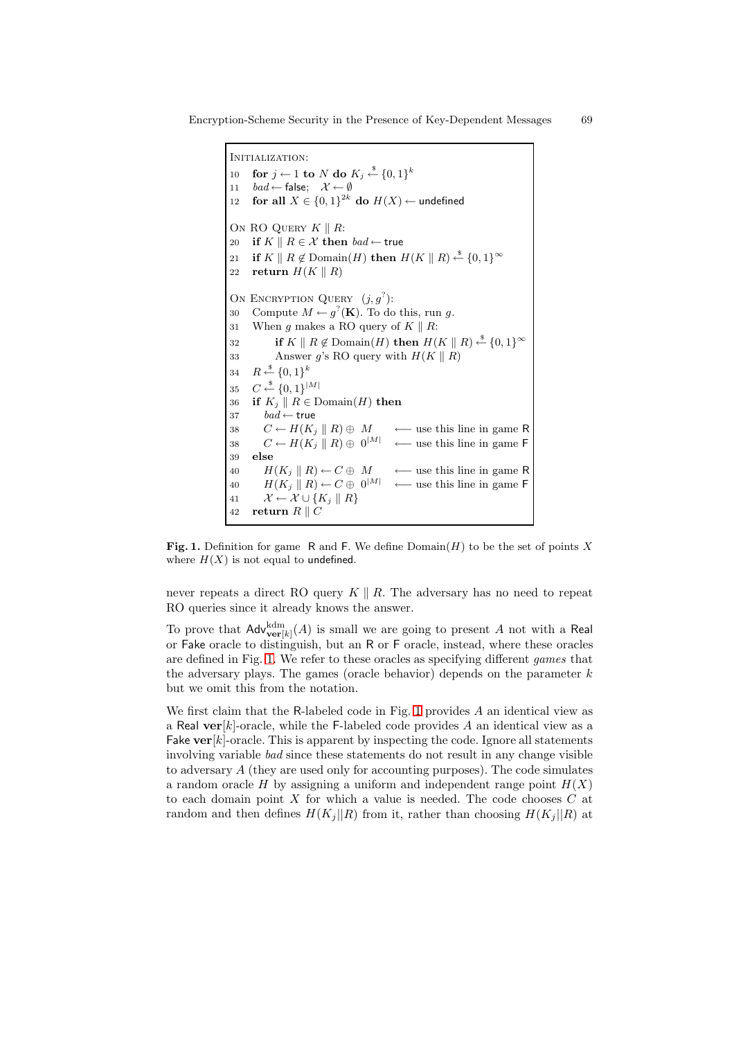```
INITIALIZATION:
10 for j \leftarrow 1 to N do K_j \stackrel{\$}{\leftarrow} \{0,1\}^k<br>
11 had \leftarrow false: \mathcal{X} \leftarrow \emptyset11 bad ← false; \mathcal{X} \leftarrow \emptyset12 for all X \in \{0, 1\}^{2k} do H(X) \leftarrow undefined
ON RO QUERY K \parallel R:<br>20 if K \parallel R \in \mathcal{X} then
20 if K \parallel R \in \mathcal{X} then bad \leftarrow true<br>21 if K \parallel R \notin \text{Domain}(H) then l
21 if K \parallel R \notin \text{Domain}(H) then H(K \parallel R) \stackrel{\$}{\leftarrow} \{0,1\}^{\infty}22 return H(K \parallel R)ON ENCRYPTION QUERY (j, g^?):<br>
20 Compute M \leftarrow g^? (K) To do
30 Compute M \leftarrow g^?(\mathbf{K}). To do this, run g.<br>31 When q makes a RO query of K \parallel R.
31 When g makes a RO query of K \parallel R:<br>32 if K \parallel R \notin \text{Domain}(H) then H(32 if K \parallel R \notin \text{Domain}(H) then H(K \parallel R) \stackrel{\$}{\leftarrow} \{0,1\}^{\infty}33 Answer g's RO query with H(K \parallel R)<br>34 R \stackrel{\text{\#}}{\leftarrow} \{0, 1\}^k34 R $
← {0, 1}k
35 C \stackrel{\$}{\leftarrow} \{0,1\}^{|M|}<br>26 if K \cdot || R \in \Gamma36 if K_j \parallel R \in \text{Domain}(H) then<br>37 had ← true
               bad \leftarrow true
38 C \leftarrow H(K_j \parallel R) \oplus M ← use this line in game R<br>38 C \leftarrow H(K_j \parallel R) \oplus 0^{|M|} ← use this line in game F
38 C \leftarrow H(K_j \parallel R) ⊕ 0^{|M|}<br>39 else
         39 else
40 H(K_j || R) \leftarrow C \oplus M ← use this line in game R<br>40 H(K_j || R) \leftarrow C \oplus 0^{|M|} ← use this line in game F
40 H(K_j ∥ R) ← C ⊕ 0<sup>|M|</sup><br>41 \mathcal{X} ← \mathcal{X} \cup \{K_i ∥ R\}41 \mathcal{X} \leftarrow \mathcal{X} \cup \{K_j \parallel R\}<br>42 return R \parallel Creturn R \parallel C
```
**Fig. 1.** Definition for game <sup>R</sup> and <sup>F</sup>. We define Domain(*H*) to be the set of points *X* where  $H(X)$  is not equal to undefined.

never repeats a direct RO query  $K \parallel R$ . The adversary has no need to repeat RO queries since it already knows the answer.

To prove that  $\mathsf{Adv}_{\mathsf{ver}[k]}^{\mathsf{kdm}}(A)$  is small we are going to present A not with a Real<br>or Eake oracle to distinguish but an R or E oracle instead, where these oracles or Fake oracle to distinguish, but an R or F oracle, instead, where these oracles are defined in Fig. [1.](#page-6-0) We refer to these oracles as specifying different *games* that the adversary plays. The games (oracle behavior) depends on the parameter  $k$ but we omit this from the notation.

We first claim that the R-labeled code in Fig. [1](#page-6-0) provides A an identical view as <sup>a</sup> Real **ver**[k]-oracle, while the <sup>F</sup>-labeled code provides A an identical view as a Fake **ver**[k]-oracle. This is apparent by inspecting the code. Ignore all statements involving variable *bad* since these statements do not result in any change visible to adversary A (they are used only for accounting purposes). The code simulates a random oracle H by assigning a uniform and independent range point  $H(X)$ to each domain point X for which a value is needed. The code chooses  $C$  at random and then defines  $H(K_i||R)$  from it, rather than choosing  $H(K_i||R)$  at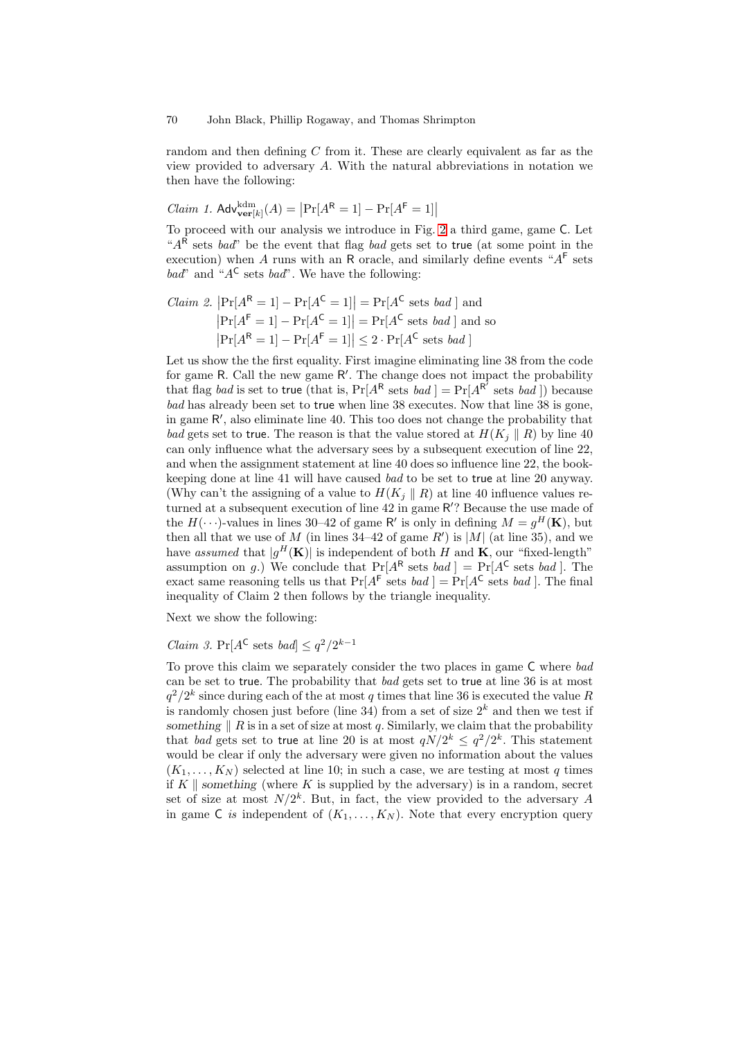random and then defining C from it. These are clearly equivalent as far as the view provided to adversary A. With the natural abbreviations in notation we then have the following:

$$
Claim \t1. Adv_{ver[k]}^{kdm}(A) = \left| \Pr[A^R = 1] - \Pr[A^F = 1] \right|
$$

To proceed with our analysis we introduce in Fig. [2](#page-6-0) a third game, game C. Let "A<sup>R</sup> sets *bad*" be the event that flag *bad* gets set to true (at some point in the execution) when A runs with an R oracle, and similarly define events " $A<sup>F</sup>$  sets *bad*" and " $A^C$  sets *bad*". We have the following:

*Claim 2.* 
$$
|\Pr[A^R = 1] - \Pr[A^C = 1]| = \Pr[A^C \text{ sets } bad]
$$
 and  $|\Pr[A^F = 1] - \Pr[A^C = 1]| = \Pr[A^C \text{ sets } bad]$  and so  $|\Pr[A^R = 1] - \Pr[A^F = 1]| \leq 2 \cdot \Pr[A^C \text{ sets } bad]$ 

Let us show the the first equality. First imagine eliminating line 38 from the code for game R. Call the new game R . The change does not impact the probability that flag *bad* is set to true (that is,  $Pr[A^R \text{ sets } bad] = Pr[A^{R'} \text{ sets } bad]$ ) because *bad* has already been set to true when line 38 executes. Now that line 38 is gone *bad* has already been set to true when line 38 executes. Now that line 38 is gone, in game R , also eliminate line 40. This too does not change the probability that *bad* gets set to true. The reason is that the value stored at  $H(K_i \parallel R)$  by line 40 can only influence what the adversary sees by a subsequent execution of line 22, and when the assignment statement at line 40 does so influence line 22, the bookkeeping done at line 41 will have caused *bad* to be set to true at line 20 anyway. (Why can't the assigning of a value to  $H(K_i || R)$  at line 40 influence values returned at a subsequent execution of line 42 in game R ? Because the use made of the  $H(\cdot\cdot\cdot)$ -values in lines 30–42 of game R' is only in defining  $M = g^H(\mathbf{K})$ , but then all that we use of M (in lines 34–42 of game R') is  $|M|$  (at line 35), and we have assumed that  $|a^H(\mathbf{K})|$  is independent of both H and K our "fixed-length" have *assumed* that  $|g^H(\mathbf{K})|$  is independent of both H and **K**, our "fixed-length" assumption on g.) We conclude that  $Pr[A^R \text{ sets } bad] = Pr[A^C \text{ sets } bad]$ . The exact same reasoning tells us that  $Pr[A^F]$  sets *bad*  $] = Pr[A^C]$  sets *bad* ]. The final inequality of Claim 2 then follows by the triangle inequality.

Next we show the following:

*Claim 3.* Pr[ $A^C$  sets *bad*]  $\leq q^2/2^{k-1}$ 

To prove this claim we separately consider the two places in game C where *bad* can be set to true. The probability that *bad* gets set to true at line 36 is at most  $q^2/2^k$  since during each of the at most q times that line 36 is executed the value R is randomly chosen just before (line 34) from a set of size  $2^k$  and then we test if *something*  $\parallel$  *R* is in a set of size at most q. Similarly, we claim that the probability that *bad* gets set to true at line 20 is at most  $qN/2^k \leq q^2/2^k$ . This statement would be clear if only the adversary were given no information about the values  $(K_1, \ldots, K_N)$  selected at line 10; in such a case, we are testing at most q times if  $K \parallel$  something (where K is supplied by the adversary) is in a random, secret set of size at most  $N/2^k$ . But, in fact, the view provided to the adversary A in game C *is* independent of  $(K_1, \ldots, K_N)$ . Note that every encryption query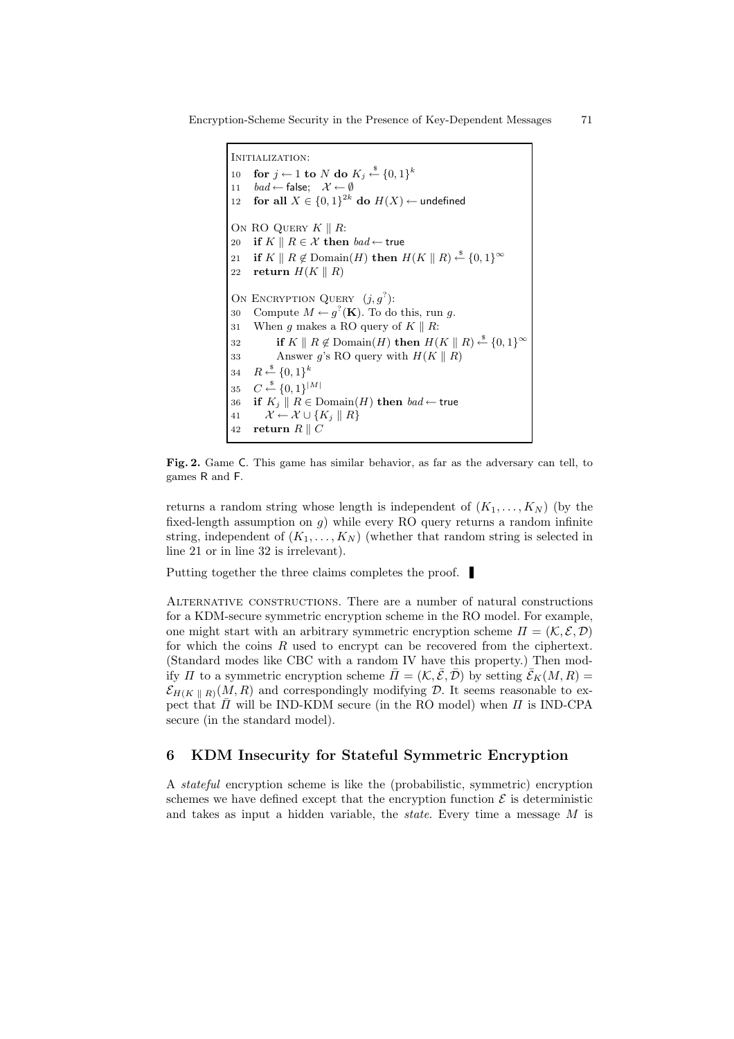```
INITIALIZATION:
10 for j \leftarrow 1 to N do K_j \stackrel{\$}{\leftarrow} \{0,1\}^k<br>
11 hod \leftarrow folse: \mathcal{X} \leftarrow \emptyset11 bad ← false; \mathcal{X} \leftarrow \emptyset12 for all X \in \{0, 1\}^{2k} do H(X) \leftarrow undefined
ON RO QUERY K \parallel R:<br>20 if K \parallel R \in \mathcal{X} then
20 if K \parallel R \in \mathcal{X} then bad \leftarrow \text{true}<br>21 if K \parallel R \notin \text{Domain}(H) then I
21 if K \parallel R \notin \text{Domain}(H) then H(K \parallel R) \stackrel{\$}{\leftarrow} \{0,1\}^{\infty}22 return H(K \parallel R)ON ENCRYPTION QUERY (j, g^?):<br>30 Compute M \leftarrow g^? (K). To do
30 Compute M \leftarrow g^?(\mathbf{K}). To do this, run g.<br>31 When q makes a RO query of K \parallel R.
31 When g makes a RO query of K \parallel R:<br>32 if K \parallel R \notin \text{Domain}(H) then H(.
32 if K \parallel R \notin \text{Domain}(H) then H(K \parallel R) \stackrel{\$}{\leftarrow} \{0,1\}^{\infty}33 Answer g's RO query with H(K \parallel R)<br>34 R \stackrel{\text{\$}}{\leftarrow} \{0,1\}^k34 R \stackrel{\$}{\leftarrow} \{0,1\}^k\begin{array}{ll} 35 & C \stackrel{\$}{\leftarrow} \{0,1\}^{|M|} \ \mathbf{26} & \textbf{if} \ \mathbf{K} \cdot \parallel \mathbf{R} \in \Gamma \end{array}36 if K_j \parallel R \in \text{Domain}(H) then bad \leftarrow \text{true}<br>41 \mathcal{X} \leftarrow \mathcal{X} \cup \{K_i \parallel R\}41 \mathcal{X} \leftarrow \mathcal{X} \cup \{K_j \parallel R\}<br>42 return R \parallel Creturn R \parallel C
```
**Fig. 2.** Game C. This game has similar behavior, as far as the adversary can tell, to games R and F.

returns a random string whose length is independent of  $(K_1,\ldots,K_N)$  (by the fixed-length assumption on  $g$ ) while every RO query returns a random infinite string, independent of  $(K_1, \ldots, K_N)$  (whether that random string is selected in line 21 or in line 32 is irrelevant).

Putting together the three claims completes the proof.

Alternative constructions. There are a number of natural constructions for a KDM-secure symmetric encryption scheme in the RO model. For example, one might start with an arbitrary symmetric encryption scheme  $\Pi = (\mathcal{K}, \mathcal{E}, \mathcal{D})$ for which the coins  $R$  used to encrypt can be recovered from the ciphertext. (Standard modes like CBC with a random IV have this property.) Then modify  $\Pi$  to a symmetric encryption scheme  $\overline{\Pi} = (\mathcal{K}, \overline{\mathcal{E}}, \overline{\mathcal{D}})$  by setting  $\overline{\mathcal{E}}_K(M, R) =$ <br> $\mathcal{E}_{\mathcal{K}(M, R)}$  and correspondingly modifying  $\mathcal{D}$ . It seems reasonable to ex- $\mathcal{E}_{H(K \parallel R)}(M,R)$  and correspondingly modifying D. It seems reasonable to expect that  $\Pi$  will be IND-KDM secure (in the RO model) when  $\Pi$  is IND-CPA secure (in the standard model).

#### **6 KDM Insecurity for Stateful Symmetric Encryption**

A *stateful* encryption scheme is like the (probabilistic, symmetric) encryption schemes we have defined except that the encryption function  $\mathcal E$  is deterministic and takes as input a hidden variable, the *state*. Every time a message M is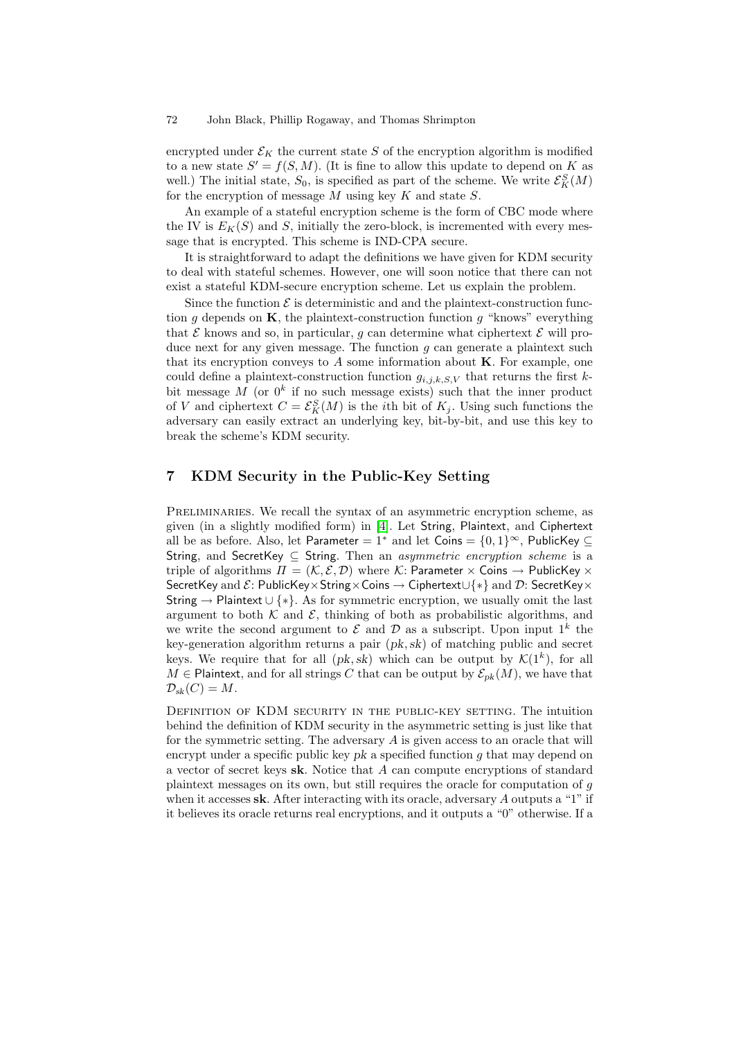encrypted under  $\mathcal{E}_K$  the current state S of the encryption algorithm is modified to a new state  $S' = f(S, M)$ . (It is fine to allow this update to depend on K as well.) The initial state,  $S_0$ , is specified as part of the scheme. We write  $\mathcal{E}_K^S(M)$  for the encryption of message M using key K and state S for the encryption of message M using key K and state  $S$ .

An example of a stateful encryption scheme is the form of CBC mode where the IV is  $E_K(S)$  and S, initially the zero-block, is incremented with every message that is encrypted. This scheme is IND-CPA secure.

It is straightforward to adapt the definitions we have given for KDM security to deal with stateful schemes. However, one will soon notice that there can not exist a stateful KDM-secure encryption scheme. Let us explain the problem.

Since the function  $\mathcal E$  is deterministic and and the plaintext-construction function g depends on  $\bf{K}$ , the plaintext-construction function g "knows" everything that  $\mathcal E$  knows and so, in particular, q can determine what ciphertext  $\mathcal E$  will produce next for any given message. The function  $g$  can generate a plaintext such that its encryption conveys to  $A$  some information about  $\bf{K}$ . For example, one could define a plaintext-construction function  $g_{i,j,k,S,V}$  that returns the first kbit message M (or  $0^k$  if no such message exists) such that the inner product of V and ciphertext  $C = \mathcal{E}_K^S(M)$  is the *i*th bit of  $K_j$ . Using such functions the solver sex can easily extract an underlying key bit-by-bit, and use this key to adversary can easily extract an underlying key, bit-by-bit, and use this key to break the scheme's KDM security.

#### **7 KDM Security in the Public-Key Setting**

PRELIMINARIES. We recall the syntax of an asymmetric encryption scheme, as given (in a slightly modified form) in [\[4\]](#page-12-15). Let String, Plaintext, and Ciphertext all be as before. Also, let Parameter = 1\* and let Coins =  $\{0,1\}^{\infty}$ , PublicKey  $\subseteq$ String, and SecretKey ⊆ String. Then an *asymmetric encryption scheme* is a triple of algorithms  $\Pi = (\mathcal{K}, \mathcal{E}, \mathcal{D})$  where  $\mathcal{K}$ : Parameter  $\times$  Coins  $\rightarrow$  PublicKey  $\times$ SecretKey and  $\mathcal{E}$ : PublicKey×String×Coins  $\rightarrow$  Ciphertext $\cup\{*\}$  and  $\mathcal{D}$ : SecretKey× String → Plaintext ∪ {∗}. As for symmetric encryption, we usually omit the last argument to both  $K$  and  $\mathcal{E}$ , thinking of both as probabilistic algorithms, and we write the second argument to  $\mathcal E$  and  $\mathcal D$  as a subscript. Upon input  $1^k$  the key-generation algorithm returns a pair (*pk*,*sk*) of matching public and secret keys. We require that for all  $(pk, sk)$  which can be output by  $\mathcal{K}(1^k)$ , for all  $M \in$  Plaintext, and for all strings C that can be output by  $\mathcal{E}_{pk}(M)$ , we have that  $\mathcal{D}_{sk}(C) = M$ .

Definition of KDM security in the public-key setting. The intuition behind the definition of KDM security in the asymmetric setting is just like that for the symmetric setting. The adversary  $A$  is given access to an oracle that will encrypt under a specific public key *pk* a specified function g that may depend on a vector of secret keys **sk**. Notice that A can compute encryptions of standard plaintext messages on its own, but still requires the oracle for computation of g when it accesses **sk**. After interacting with its oracle, adversary A outputs a "1" if it believes its oracle returns real encryptions, and it outputs a "0" otherwise. If a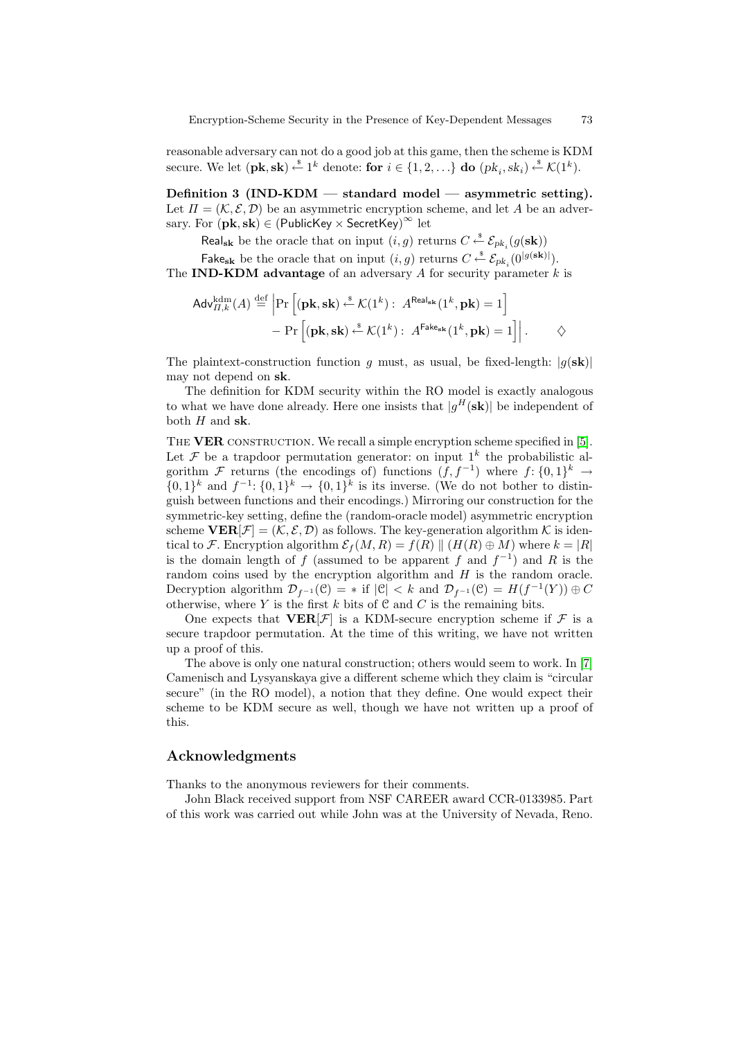reasonable adversary can not do a good job at this game, then the scheme is KDM secure. We let  $(\mathbf{pk}, \mathbf{sk}) \stackrel{\$}{\leftarrow} 1^k$  denote: for  $i \in \{1, 2, \ldots\}$  do  $(pk_i, sk_i) \stackrel{\$}{\leftarrow} \mathcal{K}(1^k)$ .

**Definition 3 (IND-KDM — standard model — asymmetric setting).** Let  $\Pi = (\mathcal{K}, \mathcal{E}, \mathcal{D})$  be an asymmetric encryption scheme, and let A be an adversary. For  $(\mathbf{pk}, \mathbf{sk}) \in (\mathsf{PublicKey} \times \mathsf{SecretKey})^{\infty}$  let

**Real<sub>sk</sub>** be the oracle that on input  $(i, g)$  returns  $C \xrightarrow{\text{e}} \mathcal{E}_{pk_i}(g(\mathbf{sk}))$ 

**Fake**<sub>sk</sub> be the oracle that on input  $(i, g)$  returns  $C \stackrel{\text{g}}{\leftarrow} \mathcal{E}_{pk_i}(0^{|g(\textbf{sk})|})$ .<br> **SD-KDM** advantage of an advance  $A$  for socurity parameter  $k$ The **IND-KDM** advantage of an adversary A for security parameter  $k$  is

$$
\begin{split} \mathsf{Adv}_{\Pi,k}^{\mathsf{kdm}}(A) &\stackrel{\mathrm{def}}{=} \left| \Pr\left[ (\mathbf{pk},\mathbf{sk}) \xleftarrow{\$} \mathcal{K}(1^k): \ A^{\mathsf{Real}_{\mathsf{sk}}}(1^k,\mathbf{pk}) = 1 \right] \right. \\ &\qquad \qquad \left. - \Pr\left[ (\mathbf{pk},\mathbf{sk}) \xleftarrow{\$} \mathcal{K}(1^k): \ A^{\mathsf{False}_{\mathsf{sk}}}(1^k,\mathbf{pk}) = 1 \right] \right|. \qquad \diamondsuit \end{split}
$$

The plaintext-construction function g must, as usual, be fixed-length:  $|g(\mathbf{sk})|$ may not depend on **sk**.

The definition for KDM security within the RO model is exactly analogous to what we have done already. Here one insists that  $|g^H(\mathbf{sk})|$  be independent of both H and **sk**.

THE **VER** CONSTRUCTION. We recall a simple encryption scheme specified in [\[5\]](#page-12-4). Let  $\mathcal F$  be a trapdoor permutation generator: on input  $1^k$  the probabilistic algorithm F returns (the encodings of) functions  $(f, f^{-1})$  where  $f: \{0, 1\}^k \to$  $\{0,1\}^k$  and  $f^{-1}$ :  $\{0,1\}^k \rightarrow \{0,1\}^k$  is its inverse. (We do not bother to distinguish between functions and their encodings.) Mirroring our construction for the symmetric-key setting, define the (random-oracle model) asymmetric encryption scheme  $\mathbf{VER}[\mathcal{F}]=(\mathcal{K}, \mathcal{E}, \mathcal{D})$  as follows. The key-generation algorithm K is identical to F. Encryption algorithm  $\mathcal{E}_f(M,R) = f(R) || (H(R) \oplus M)$  where  $k = |R|$ is the domain length of f (assumed to be apparent f and  $f^{-1}$ ) and R is the random coins used by the encryption algorithm and  $H$  is the random oracle. Decryption algorithm  $\mathcal{D}_{f^{-1}}(\mathcal{C}) = *$  if  $|\mathcal{C}| < k$  and  $\mathcal{D}_{f^{-1}}(\mathcal{C}) = H(f^{-1}(Y)) \oplus C$ otherwise, where Y is the first k bits of C and C is the remaining bits.

One expects that **VER** $[\mathcal{F}]$  is a KDM-secure encryption scheme if  $\mathcal{F}$  is a secure trapdoor permutation. At the time of this writing, we have not written up a proof of this.

The above is only one natural construction; others would seem to work. In [\[7\]](#page-12-12) Camenisch and Lysyanskaya give a different scheme which they claim is "circular secure" (in the RO model), a notion that they define. One would expect their scheme to be KDM secure as well, though we have not written up a proof of this.

#### **Acknowledgments**

Thanks to the anonymous reviewers for their comments.

John Black received support from NSF CAREER award CCR-0133985. Part of this work was carried out while John was at the University of Nevada, Reno.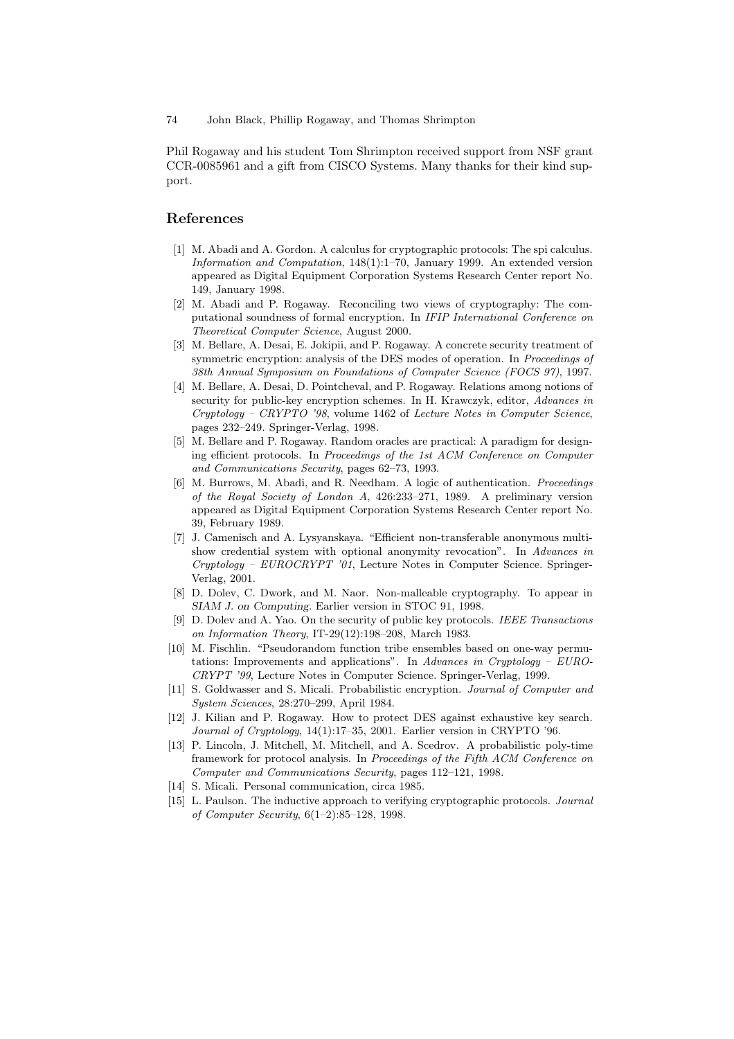<span id="page-12-5"></span>Phil Rogaway and his student Tom Shrimpton received support from NSF grant CCR-0085961 and a gift from CISCO Systems. Many thanks for their kind support.

#### <span id="page-12-6"></span>**References**

- [1] M. Abadi and A. Gordon. A calculus for cryptographic protocols: The spi calculus. *Information and Computation*, 148(1):1–70, January 1999. An extended version appeared as Digital Equipment Corporation Systems Research Center report No. 149, January 1998.
- <span id="page-12-11"></span>[2] M. Abadi and P. Rogaway. Reconciling two views of cryptography: The computational soundness of formal encryption. In *IFIP International Conference on Theoretical Computer Science*, August 2000.
- <span id="page-12-0"></span>[3] M. Bellare, A. Desai, E. Jokipii, and P. Rogaway. A concrete security treatment of symmetric encryption: analysis of the DES modes of operation. In *Proceedings of 38th Annual Symposium on Foundations of Computer Science (FOCS 97)*, 1997.
- <span id="page-12-15"></span>[4] M. Bellare, A. Desai, D. Pointcheval, and P. Rogaway. Relations among notions of security for public-key encryption schemes. In H. Krawczyk, editor, *Advances in Cryptology – CRYPTO '98*, volume 1462 of *Lecture Notes in Computer Science*, pages 232–249. Springer-Verlag, 1998.
- <span id="page-12-4"></span>[5] M. Bellare and P. Rogaway. Random oracles are practical: A paradigm for designing efficient protocols. In *Proceedings of the 1st ACM Conference on Computer and Communications Security*, pages 62–73, 1993.
- <span id="page-12-7"></span>[6] M. Burrows, M. Abadi, and R. Needham. A logic of authentication. *Proceedings of the Royal Society of London A*, 426:233–271, 1989. A preliminary version appeared as Digital Equipment Corporation Systems Research Center report No. 39, February 1989.
- <span id="page-12-12"></span>[7] J. Camenisch and A. Lysyanskaya. "Efficient non-transferable anonymous multishow credential system with optional anonymity revocation". In *Advances in Cryptology – EUROCRYPT '01*, Lecture Notes in Computer Science. Springer-Verlag, 2001.
- <span id="page-12-2"></span>[8] D. Dolev, C. Dwork, and M. Naor. Non-malleable cryptography. To appear in *SIAM J. on Computing*. Earlier version in STOC 91, 1998.
- <span id="page-12-8"></span>[9] D. Dolev and A. Yao. On the security of public key protocols. *IEEE Transactions on Information Theory*, IT-29(12):198–208, March 1983.
- <span id="page-12-3"></span>[10] M. Fischlin. "Pseudorandom function tribe ensembles based on one-way permutations: Improvements and applications". In *Advances in Cryptology – EURO-CRYPT '99*, Lecture Notes in Computer Science. Springer-Verlag, 1999.
- <span id="page-12-1"></span>[11] S. Goldwasser and S. Micali. Probabilistic encryption. *Journal of Computer and System Sciences*, 28:270–299, April 1984.
- <span id="page-12-14"></span>[12] J. Kilian and P. Rogaway. How to protect DES against exhaustive key search. *Journal of Cryptology*, 14(1):17–35, 2001. Earlier version in CRYPTO '96.
- <span id="page-12-10"></span>[13] P. Lincoln, J. Mitchell, M. Mitchell, and A. Scedrov. A probabilistic poly-time framework for protocol analysis. In *Proceedings of the Fifth ACM Conference on Computer and Communications Security*, pages 112–121, 1998.
- <span id="page-12-13"></span><span id="page-12-9"></span>[14] S. Micali. Personal communication, circa 1985.
- [15] L. Paulson. The inductive approach to verifying cryptographic protocols. *Journal of Computer Security*, 6(1–2):85–128, 1998.